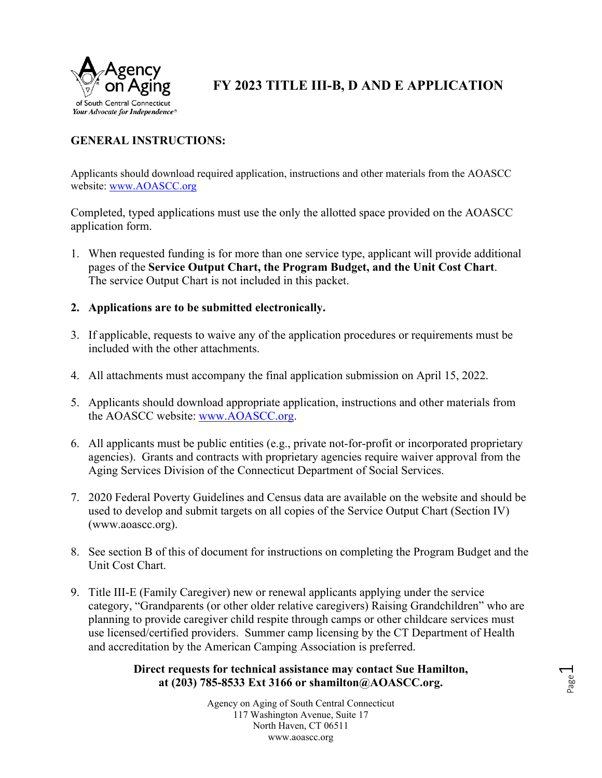

**FY 2023 TITLE III-B, D AND E APPLICATION**

# **GENERAL INSTRUCTIONS:**

Applicants should download required application, instructions and other materials from the AOASCC website: www.AOASCC.org

Completed, typed applications must use the only the allotted space provided on the AOASCC application form.

- 1. When requested funding is for more than one service type, applicant will provide additional pages of the **Service Output Chart, the Program Budget, and the Unit Cost Chart**. The service Output Chart is not included in this packet.
- **2. Applications are to be submitted electronically.**
- 3. If applicable, requests to waive any of the application procedures or requirements must be included with the other attachments.
- 4. All attachments must accompany the final application submission on April 15, 2022.
- 5. Applicants should download appropriate application, instructions and other materials from the AOASCC website: www.AOASCC.org.
- 6. All applicants must be public entities (e.g., private not-for-profit or incorporated proprietary agencies). Grants and contracts with proprietary agencies require waiver approval from the Aging Services Division of the Connecticut Department of Social Services.
- 7. 2020 Federal Poverty Guidelines and Census data are available on the website and should be used to develop and submit targets on all copies of the Service Output Chart (Section IV) (www.aoascc.org).
- 8. See section B of this of document for instructions on completing the Program Budget and the Unit Cost Chart.
- 9. Title III-E (Family Caregiver) new or renewal applicants applying under the service category, "Grandparents (or other older relative caregivers) Raising Grandchildren" who are planning to provide caregiver child respite through camps or other childcare services must use licensed/certified providers. Summer camp licensing by the CT Department of Health and accreditation by the American Camping Association is preferred.

### **Direct requests for technical assistance may contact Sue Hamilton, at (203) 785-8533 Ext 3166 or shamilton@AOASCC.org.**

Agency on Aging of South Central Connecticut 117 Washington Avenue, Suite 17 North Haven, CT 06511 www.aoascc.org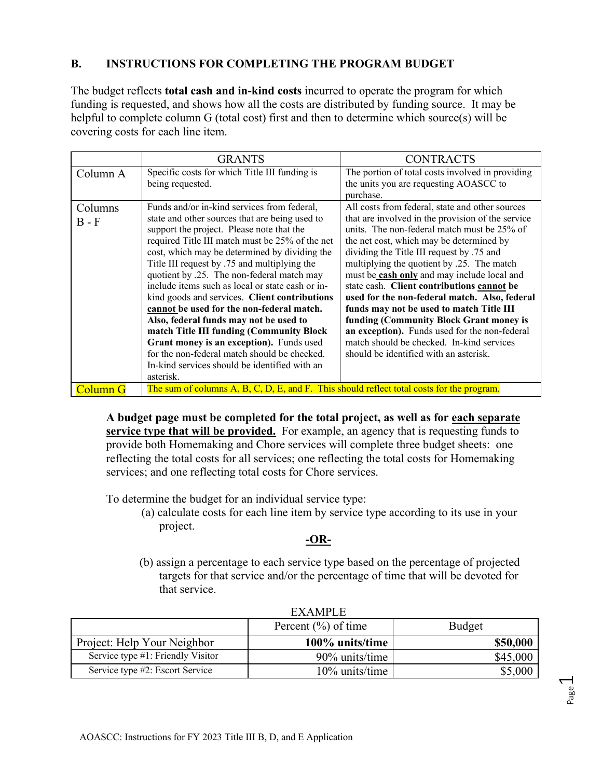### **B. INSTRUCTIONS FOR COMPLETING THE PROGRAM BUDGET**

The budget reflects **total cash and in-kind costs** incurred to operate the program for which funding is requested, and shows how all the costs are distributed by funding source. It may be helpful to complete column G (total cost) first and then to determine which source(s) will be covering costs for each line item.

|                     | <b>GRANTS</b>                                                                                                                                                                                                                                                                                                                                                                                                                                                                                                                                                                                                                                                                                                                                  | <b>CONTRACTS</b>                                                                                                                                                                                                                                                                                                                                                                                                                                                                                                                                                                                                                                                        |  |
|---------------------|------------------------------------------------------------------------------------------------------------------------------------------------------------------------------------------------------------------------------------------------------------------------------------------------------------------------------------------------------------------------------------------------------------------------------------------------------------------------------------------------------------------------------------------------------------------------------------------------------------------------------------------------------------------------------------------------------------------------------------------------|-------------------------------------------------------------------------------------------------------------------------------------------------------------------------------------------------------------------------------------------------------------------------------------------------------------------------------------------------------------------------------------------------------------------------------------------------------------------------------------------------------------------------------------------------------------------------------------------------------------------------------------------------------------------------|--|
| Column A            | Specific costs for which Title III funding is<br>being requested.                                                                                                                                                                                                                                                                                                                                                                                                                                                                                                                                                                                                                                                                              | The portion of total costs involved in providing<br>the units you are requesting AOASCC to<br>purchase.                                                                                                                                                                                                                                                                                                                                                                                                                                                                                                                                                                 |  |
| Columns<br>$B - F$  | Funds and/or in-kind services from federal,<br>state and other sources that are being used to<br>support the project. Please note that the<br>required Title III match must be 25% of the net<br>cost, which may be determined by dividing the<br>Title III request by .75 and multiplying the<br>quotient by .25. The non-federal match may<br>include items such as local or state cash or in-<br>kind goods and services. Client contributions<br>cannot be used for the non-federal match.<br>Also, federal funds may not be used to<br>match Title III funding (Community Block<br>Grant money is an exception). Funds used<br>for the non-federal match should be checked.<br>In-kind services should be identified with an<br>asterisk. | All costs from federal, state and other sources<br>that are involved in the provision of the service<br>units. The non-federal match must be 25% of<br>the net cost, which may be determined by<br>dividing the Title III request by .75 and<br>multiplying the quotient by .25. The match<br>must be cash only and may include local and<br>state cash. Client contributions cannot be<br>used for the non-federal match. Also, federal<br>funds may not be used to match Title III<br>funding (Community Block Grant money is<br>an exception). Funds used for the non-federal<br>match should be checked. In-kind services<br>should be identified with an asterisk. |  |
| Column <sub>G</sub> | The sum of columns A, B, C, D, E, and F. This should reflect total costs for the program.                                                                                                                                                                                                                                                                                                                                                                                                                                                                                                                                                                                                                                                      |                                                                                                                                                                                                                                                                                                                                                                                                                                                                                                                                                                                                                                                                         |  |

**A budget page must be completed for the total project, as well as for each separate service type that will be provided.** For example, an agency that is requesting funds to provide both Homemaking and Chore services will complete three budget sheets: one reflecting the total costs for all services; one reflecting the total costs for Homemaking services; and one reflecting total costs for Chore services.

To determine the budget for an individual service type:

(a) calculate costs for each line item by service type according to its use in your project.

## **-OR-**

(b) assign a percentage to each service type based on the percentage of projected targets for that service and/or the percentage of time that will be devoted for that service.

|                                   | Percent $(\% )$ of time | <b>Budget</b> |
|-----------------------------------|-------------------------|---------------|
| Project: Help Your Neighbor       | 100% units/time         | \$50,000      |
| Service type #1: Friendly Visitor | 90% units/time          | \$45,000      |
| Service type #2: Escort Service   | $10\%$ units/time       | \$5,000       |

# EXAMPLE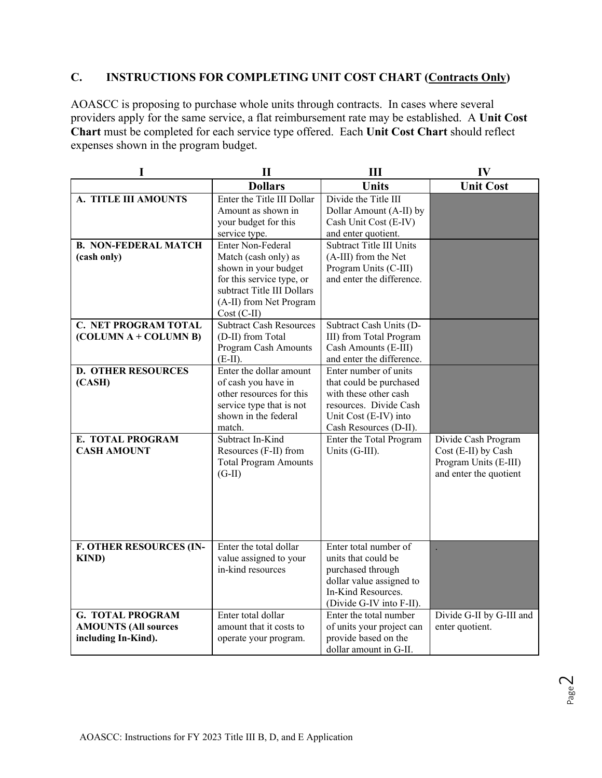## **C. INSTRUCTIONS FOR COMPLETING UNIT COST CHART (Contracts Only)**

AOASCC is proposing to purchase whole units through contracts. In cases where several providers apply for the same service, a flat reimbursement rate may be established. A **Unit Cost Chart** must be completed for each service type offered. Each **Unit Cost Chart** should reflect expenses shown in the program budget.

| I                              | $\mathbf{I}$                                            | Ш                                                  | IV                                              |
|--------------------------------|---------------------------------------------------------|----------------------------------------------------|-------------------------------------------------|
|                                | <b>Dollars</b>                                          | <b>Units</b>                                       | <b>Unit Cost</b>                                |
| A. TITLE III AMOUNTS           | Enter the Title III Dollar                              | Divide the Title III                               |                                                 |
|                                | Amount as shown in                                      | Dollar Amount (A-II) by                            |                                                 |
|                                | your budget for this                                    | Cash Unit Cost (E-IV)                              |                                                 |
|                                | service type.                                           | and enter quotient.                                |                                                 |
| <b>B. NON-FEDERAL MATCH</b>    | Enter Non-Federal                                       | Subtract Title III Units                           |                                                 |
| (cash only)                    | Match (cash only) as                                    | (A-III) from the Net                               |                                                 |
|                                | shown in your budget                                    | Program Units (C-III)<br>and enter the difference. |                                                 |
|                                | for this service type, or<br>subtract Title III Dollars |                                                    |                                                 |
|                                | (A-II) from Net Program                                 |                                                    |                                                 |
|                                | $Cost (C-II)$                                           |                                                    |                                                 |
| <b>C. NET PROGRAM TOTAL</b>    | <b>Subtract Cash Resources</b>                          | Subtract Cash Units (D-                            |                                                 |
| (COLUMN A + COLUMN B)          | (D-II) from Total                                       | III) from Total Program                            |                                                 |
|                                | Program Cash Amounts                                    | Cash Amounts (E-III)                               |                                                 |
|                                | $(E-II).$                                               | and enter the difference.                          |                                                 |
| <b>D. OTHER RESOURCES</b>      | Enter the dollar amount                                 | Enter number of units                              |                                                 |
| (CASH)                         | of cash you have in                                     | that could be purchased                            |                                                 |
|                                | other resources for this                                | with these other cash                              |                                                 |
|                                | service type that is not                                | resources. Divide Cash                             |                                                 |
|                                | shown in the federal                                    | Unit Cost (E-IV) into                              |                                                 |
|                                | match.                                                  | Cash Resources (D-II).                             |                                                 |
| E. TOTAL PROGRAM               | Subtract In-Kind                                        | Enter the Total Program                            | Divide Cash Program                             |
| <b>CASH AMOUNT</b>             | Resources (F-II) from                                   | Units (G-III).                                     | Cost (E-II) by Cash                             |
|                                | <b>Total Program Amounts</b><br>$(G-II)$                |                                                    | Program Units (E-III)<br>and enter the quotient |
|                                |                                                         |                                                    |                                                 |
|                                |                                                         |                                                    |                                                 |
|                                |                                                         |                                                    |                                                 |
|                                |                                                         |                                                    |                                                 |
|                                |                                                         |                                                    |                                                 |
| <b>F. OTHER RESOURCES (IN-</b> | Enter the total dollar                                  | Enter total number of                              |                                                 |
| <b>KIND</b> )                  | value assigned to your                                  | units that could be                                |                                                 |
|                                | in-kind resources                                       | purchased through                                  |                                                 |
|                                |                                                         | dollar value assigned to                           |                                                 |
|                                |                                                         | In-Kind Resources.                                 |                                                 |
|                                |                                                         | (Divide G-IV into F-II).                           |                                                 |
| <b>G. TOTAL PROGRAM</b>        | Enter total dollar                                      | Enter the total number                             | Divide G-II by G-III and                        |
| <b>AMOUNTS (All sources</b>    | amount that it costs to                                 | of units your project can                          | enter quotient.                                 |
| including In-Kind).            | operate your program.                                   | provide based on the                               |                                                 |
|                                |                                                         | dollar amount in G-II.                             |                                                 |